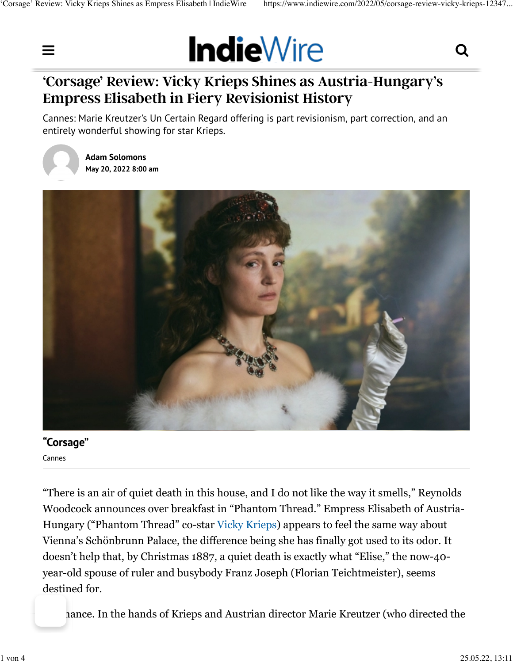

# **'Corsage' Review: Vicky Krieps Shines as Austria-Hungary's Empress Elisabeth in Fiery Revisionist History**

Cannes: Marie Kreutzer's Un Certain Regard offering is part revisionism, part correction, and an entirely wonderful showing for star Krieps.



**[Adam Solomons](https://www.indiewire.com/author/adam-solomons/) May 20, 2022 8:00 am**



## **"Corsage"**

Cannes

"There is an air of quiet death in this house, and I do not like the way it smells," Reynolds Woodcock announces over breakfast in "Phantom Thread." Empress Elisabeth of Austria-Hungary ("Phantom Thread" co-star [Vicky Krieps](https://www.indiewire.com/t/vicky-krieps/)) appears to feel the same way about Vienna's Schönbrunn Palace, the difference being she has finally got used to its odor. It doesn't help that, by Christmas 1887, a quiet death is exactly what "Elise," the now-40 year-old spouse of ruler and busybody Franz Joseph (Florian Teichtmeister), seems destined for.

hance. In the hands of Krieps and Austrian director Marie Kreutzer (who directed the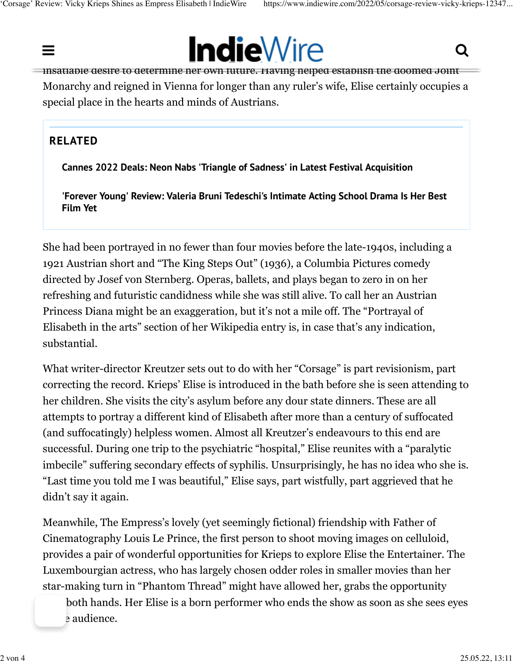



insatiable desire to determine her own future. Having helped establish the doomed Joint Monarchy and reigned in Vienna for longer than any ruler's wife, Elise certainly occupies a special place in the hearts and minds of Austrians.

### **RELATED**

**[Cannes 2022 Deals: Neon Nabs 'Triangle of Sadness' in Latest Festival Acquisition](https://www.indiewire.com/2022/05/cannes-2022-film-festival-acquisitions-1234723291/)**

**['Forever Young' Review: Valeria Bruni Tedeschi's Intimate Acting School Drama Is Her Best](https://www.indiewire.com/2022/05/forever-young-review-valeria-bruni-tedeschi-1234727954/) [Film Yet](https://www.indiewire.com/2022/05/forever-young-review-valeria-bruni-tedeschi-1234727954/)**

She had been portrayed in no fewer than four movies before the late-1940s, including a 1921 Austrian short and "The King Steps Out" (1936), a Columbia Pictures comedy directed by Josef von Sternberg. Operas, ballets, and plays began to zero in on her refreshing and futuristic candidness while she was still alive. To call her an Austrian Princess Diana might be an exaggeration, but it's not a mile off. The "Portrayal of Elisabeth in the arts" section of her Wikipedia entry is, in case that's any indication, substantial.

What writer-director Kreutzer sets out to do with her "Corsage" is part revisionism, part correcting the record. Krieps' Elise is introduced in the bath before she is seen attending to her children. She visits the city's asylum before any dour state dinners. These are all attempts to portray a different kind of Elisabeth after more than a century of suffocated (and suffocatingly) helpless women. Almost all Kreutzer's endeavours to this end are successful. During one trip to the psychiatric "hospital," Elise reunites with a "paralytic imbecile" suffering secondary effects of syphilis. Unsurprisingly, he has no idea who she is. "Last time you told me I was beautiful," Elise says, part wistfully, part aggrieved that he didn't say it again.

Meanwhile, The Empress's lovely (yet seemingly fictional) friendship with Father of Cinematography Louis Le Prince, the first person to shoot moving images on celluloid, provides a pair of wonderful opportunities for Krieps to explore Elise the Entertainer. The Luxembourgian actress, who has largely chosen odder roles in smaller movies than her star-making turn in "Phantom Thread" might have allowed her, grabs the opportunity

both hands. Her Elise is a born performer who ends the show as soon as she sees eyes e audience.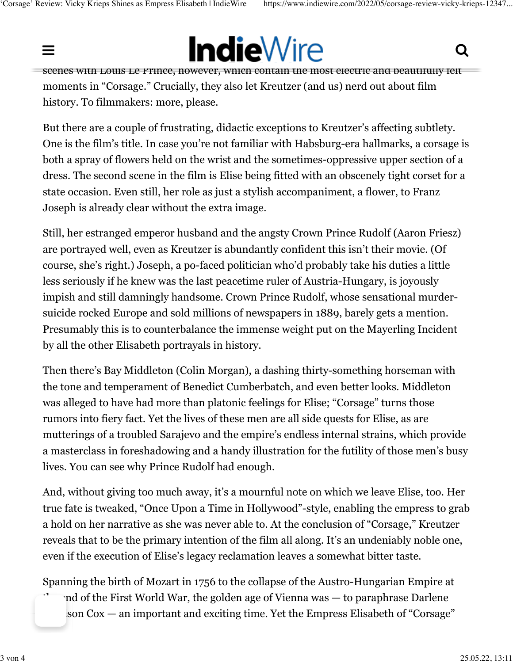# $\mathbf{S}$  so[metimes that happens literally, in some of her husband's most important and laborio](https://www.indiewire.com/)us most important and laborious most important and laborious most important and laborious most important and laborious most imp  $\blacksquare$  malevvire. In  $\blacksquare$

scenes with Louis Le Prince, however, which contain the most electric and beautifully felt moments in "Corsage." Crucially, they also let Kreutzer (and us) nerd out about film history. To filmmakers: more, please.

But there are a couple of frustrating, didactic exceptions to Kreutzer's affecting subtlety. One is the film's title. In case you're not familiar with Habsburg-era hallmarks, a corsage is both a spray of flowers held on the wrist and the sometimes-oppressive upper section of a dress. The second scene in the film is Elise being fitted with an obscenely tight corset for a state occasion. Even still, her role as just a stylish accompaniment, a flower, to Franz Joseph is already clear without the extra image.

Still, her estranged emperor husband and the angsty Crown Prince Rudolf (Aaron Friesz) are portrayed well, even as Kreutzer is abundantly confident this isn't their movie. (Of course, she's right.) Joseph, a po-faced politician who'd probably take his duties a little less seriously if he knew was the last peacetime ruler of Austria-Hungary, is joyously impish and still damningly handsome. Crown Prince Rudolf, whose sensational murdersuicide rocked Europe and sold millions of newspapers in 1889, barely gets a mention. Presumably this is to counterbalance the immense weight put on the Mayerling Incident by all the other Elisabeth portrayals in history.

Then there's Bay Middleton (Colin Morgan), a dashing thirty-something horseman with the tone and temperament of Benedict Cumberbatch, and even better looks. Middleton was alleged to have had more than platonic feelings for Elise; "Corsage" turns those rumors into fiery fact. Yet the lives of these men are all side quests for Elise, as are mutterings of a troubled Sarajevo and the empire's endless internal strains, which provide a masterclass in foreshadowing and a handy illustration for the futility of those men's busy lives. You can see why Prince Rudolf had enough.

And, without giving too much away, it's a mournful note on which we leave Elise, too. Her true fate is tweaked, "Once Upon a Time in Hollywood"-style, enabling the empress to grab a hold on her narrative as she was never able to. At the conclusion of "Corsage," Kreutzer reveals that to be the primary intention of the film all along. It's an undeniably noble one, even if the execution of Elise's legacy reclamation leaves a somewhat bitter taste.

Spanning the birth of Mozart in 1756 to the collapse of the Austro-Hungarian Empire at

 $\eta$  of the First World War, the golden age of Vienna was  $-$  to paraphrase Darlene  $\gamma$  son Cox — an important and exciting time. Yet the Empress Elisabeth of "Corsage"